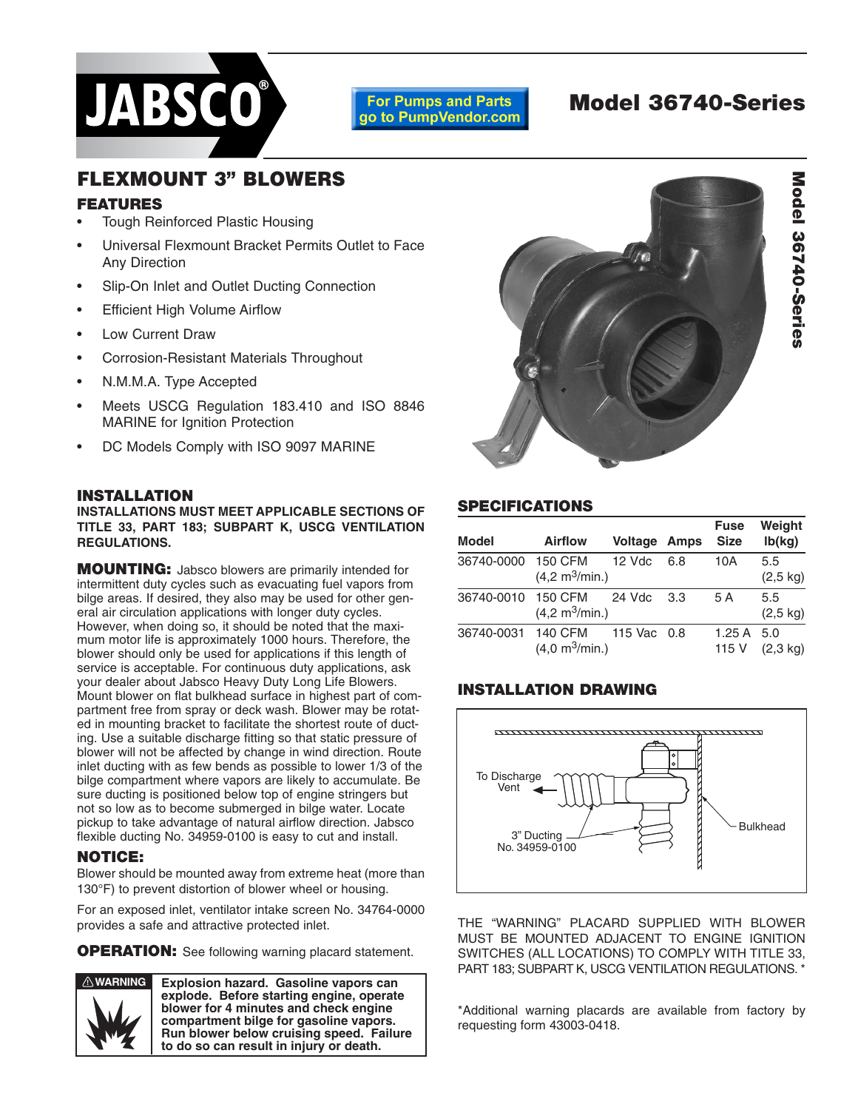

#### **For Pumps and Parts** go to PumpVendor.com

# **Model 36740-Series**

# **FLEXMOUNT 3" BLOWERS**

# **FEATURES**

- Tough Reinforced Plastic Housing
- Universal Flexmount Bracket Permits Outlet to Face Any Direction
- Slip-On Inlet and Outlet Ducting Connection
- **Efficient High Volume Airflow**
- Low Current Draw
- Corrosion-Resistant Materials Throughout
- N.M.M.A. Type Accepted
- Meets USCG Regulation 183.410 and ISO 8846 MARINE for Ignition Protection
- DC Models Comply with ISO 9097 MARINE

#### **INSTALLATION**

**INSTALLATIONS MUST MEET APPLICABLE SECTIONS OF TITLE 33, PART 183; SUBPART K, USCG VENTILATION REGULATIONS.**

**MOUNTING:** Jabsco blowers are primarily intended for intermittent duty cycles such as evacuating fuel vapors from bilge areas. If desired, they also may be used for other general air circulation applications with longer duty cycles. However, when doing so, it should be noted that the maximum motor life is approximately 1000 hours. Therefore, the blower should only be used for applications if this length of service is acceptable. For continuous duty applications, ask your dealer about Jabsco Heavy Duty Long Life Blowers. Mount blower on flat bulkhead surface in highest part of compartment free from spray or deck wash. Blower may be rotated in mounting bracket to facilitate the shortest route of ducting. Use a suitable discharge fitting so that static pressure of blower will not be affected by change in wind direction. Route inlet ducting with as few bends as possible to lower 1/3 of the bilge compartment where vapors are likely to accumulate. Be sure ducting is positioned below top of engine stringers but not so low as to become submerged in bilge water. Locate pickup to take advantage of natural airflow direction. Jabsco flexible ducting No. 34959-0100 is easy to cut and install.

### **NOTICE:**

Blower should be mounted away from extreme heat (more than 130°F) to prevent distortion of blower wheel or housing.

For an exposed inlet, ventilator intake screen No. 34764-0000 provides a safe and attractive protected inlet.

**OPERATION:** See following warning placard statement.



**Explosion hazard. Gasoline vapors can explode. Before starting engine, operate blower for 4 minutes and check engine compartment bilge for gasoline vapors. Run blower below cruising speed. Failure to do so can result in injury or death.**



# **SPECIFICATIONS**

| <b>Model</b> | <b>Airflow</b>                             | <b>Voltage Amps</b> |     | <b>Fuse</b><br><b>Size</b> | Weight<br>lb(kg)          |
|--------------|--------------------------------------------|---------------------|-----|----------------------------|---------------------------|
| 36740-0000   | 150 CFM<br>(4,2 m <sup>3</sup> /min.)      | 12 Vdc              | 6.8 | 10A                        | 5.5<br>$(2,5 \text{ kg})$ |
| 36740-0010   | 150 CFM<br>(4,2 m <sup>3</sup> /min.)      | 24 Vdc              | 3.3 | 5 A                        | 5.5<br>$(2,5 \text{ kg})$ |
| 36740-0031   | 140 CFM<br>$(4,0 \text{ m}^3/\text{min.})$ | 115 Vac 0.8         |     | 1.25 A<br>115 V            | 5.0<br>$(2.3 \text{ kg})$ |

# **INSTALLATION DRAWING**



THE "WARNING" PLACARD SUPPLIED WITH BLOWER MUST BE MOUNTED ADJACENT TO ENGINE IGNITION SWITCHES (ALL LOCATIONS) TO COMPLY WITH TITLE 33, PART 183; SUBPART K, USCG VENTILATION REGULATIONS. \*

\*Additional warning placards are available from factory by requesting form 43003-0418.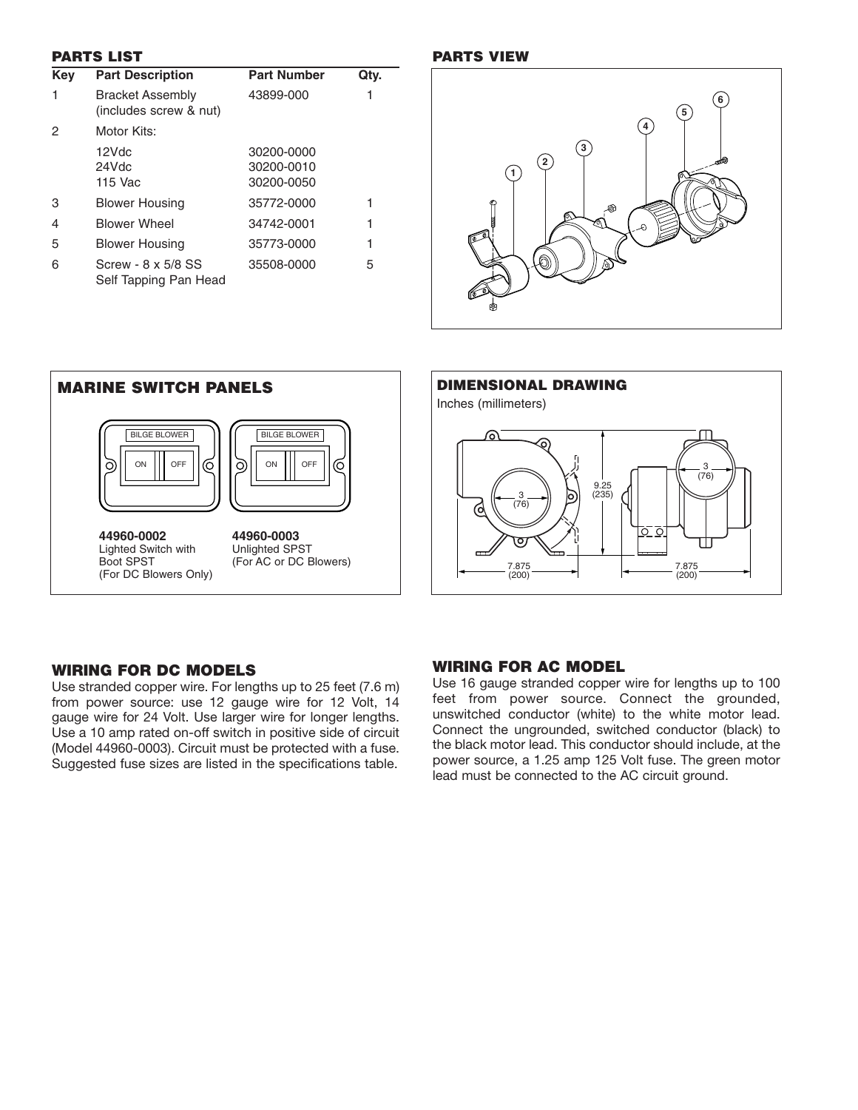#### **PARTS LIST**

| <b>Key</b> | <b>Part Description</b>                           | <b>Part Number</b>                     | Qty. |
|------------|---------------------------------------------------|----------------------------------------|------|
| 1          | <b>Bracket Assembly</b><br>(includes screw & nut) | 43899-000                              |      |
| 2          | Motor Kits:                                       |                                        |      |
|            | 12Vdc<br>24Vdc<br>115 Vac                         | 30200-0000<br>30200-0010<br>30200-0050 |      |
| 3          | <b>Blower Housing</b>                             | 35772-0000                             |      |
| 4          | <b>Blower Wheel</b>                               | 34742-0001                             |      |
| 5          | <b>Blower Housing</b>                             | 35773-0000                             |      |
| 6          | Screw - 8 x 5/8 SS<br>Self Tapping Pan Head       | 35508-0000                             | 5    |

#### **PARTS VIEW**





## **WIRING FOR DC MODELS**

Use stranded copper wire. For lengths up to 25 feet (7.6 m) from power source: use 12 gauge wire for 12 Volt, 14 gauge wire for 24 Volt. Use larger wire for longer lengths. Use a 10 amp rated on-off switch in positive side of circuit (Model 44960-0003). Circuit must be protected with a fuse. Suggested fuse sizes are listed in the specifications table.

## **WIRING FOR AC MODEL**

Use 16 gauge stranded copper wire for lengths up to 100 feet from power source. Connect the grounded, unswitched conductor (white) to the white motor lead. Connect the ungrounded, switched conductor (black) to the black motor lead. This conductor should include, at the power source, a 1.25 amp 125 Volt fuse. The green motor lead must be connected to the AC circuit ground.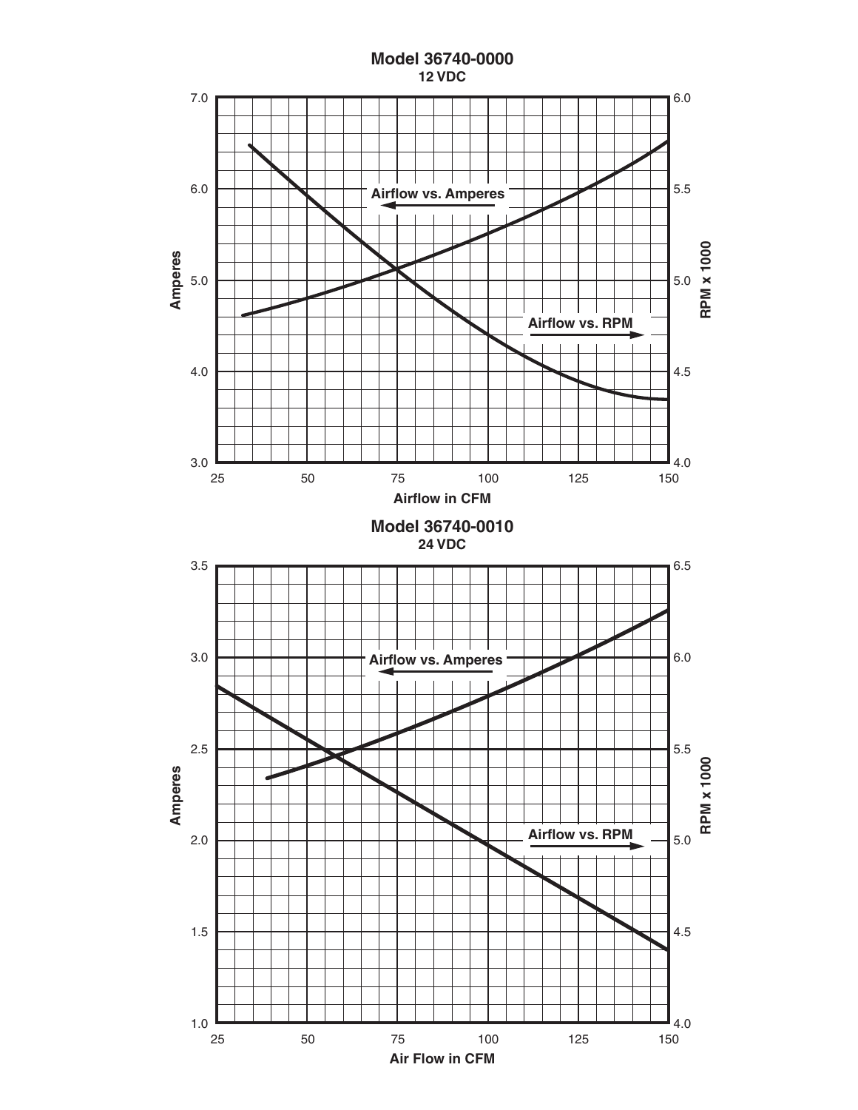